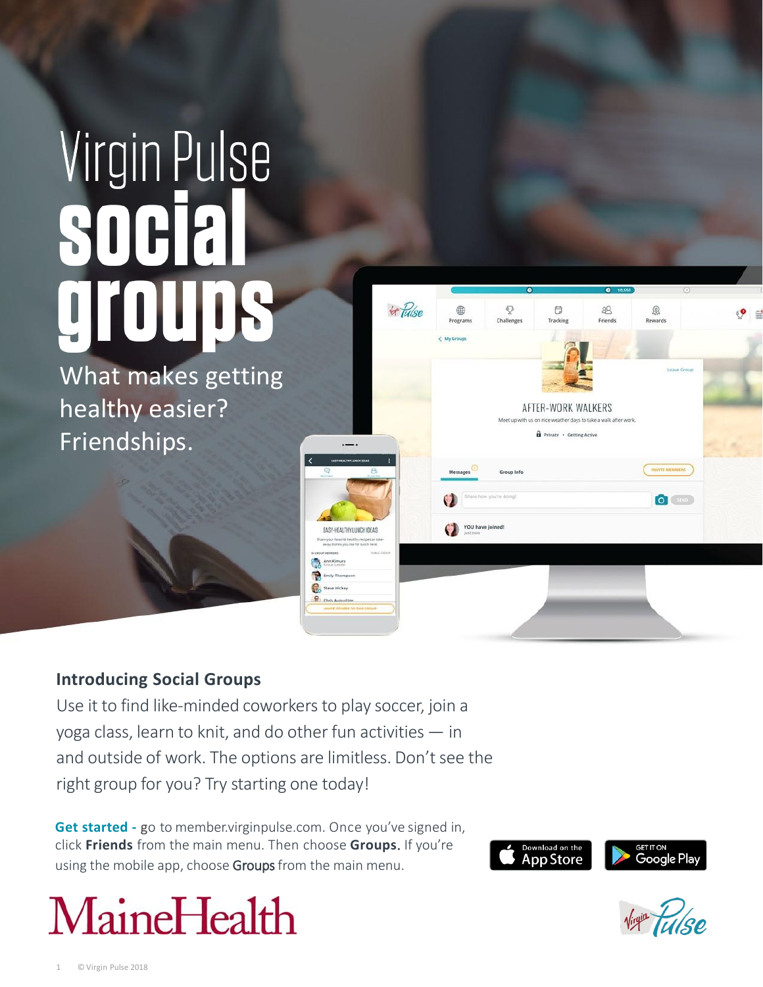# Virgin Pulse socia **QIOUDS**

What makes getting healthy easier? Friendships.

## **Introducing Social Groups**

Use it to find like-minded coworkers to play soccer, join a yoga class, learn to knit, and do other fun activities — in and outside of work. The options are limitless. Don't see the right group for you? Try starting one today!

**Get started -** go to member.virginpulse.com. Once you've signed in, click **Friends** from the main menu. Then choose **Groups**. If you're using the mobile app, choose Groups from the main menu.